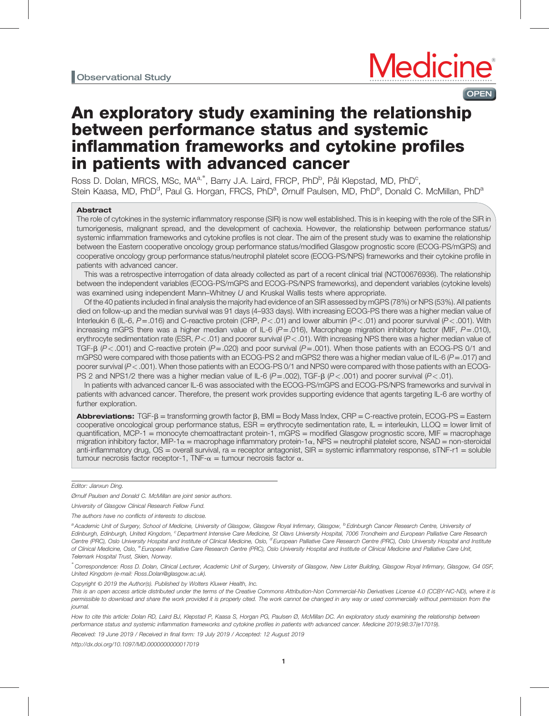

# An exploratory study examining the relationship between performance status and systemic inflammation frameworks and cytokine profiles in patients with advanced cancer

Ross D. Dolan, MRCS, MSc, MA<sup>a,\*</sup>, Barry J.A. Laird, FRCP, PhD<sup>b</sup>, Pål Klepstad, MD, PhD<sup>c</sup>, Stein Kaasa, MD, PhD<sup>d</sup>, Paul G. Horgan, FRCS, PhD<sup>a</sup>, Ørnulf Paulsen, MD, PhD<sup>e</sup>, Donald C. McMillan, PhD<sup>a</sup>

## Abstract

The role of cytokines in the systemic inflammatory response (SIR) is now well established. This is in keeping with the role of the SIR in tumorigenesis, malignant spread, and the development of cachexia. However, the relationship between performance status/ systemic inflammation frameworks and cytokine profiles is not clear. The aim of the present study was to examine the relationship between the Eastern cooperative oncology group performance status/modified Glasgow prognostic score (ECOG-PS/mGPS) and cooperative oncology group performance status/neutrophil platelet score (ECOG-PS/NPS) frameworks and their cytokine profile in patients with advanced cancer.

This was a retrospective interrogation of data already collected as part of a recent clinical trial (NCT00676936). The relationship between the independent variables (ECOG-PS/mGPS and ECOG-PS/NPS frameworks), and dependent variables (cytokine levels) was examined using independent Mann–Whitney U and Kruskal Wallis tests where appropriate.

Of the 40 patients included in final analysis the majority had evidence of an SIR assessed by mGPS (78%) or NPS (53%). All patients died on follow-up and the median survival was 91 days (4–933 days). With increasing ECOG-PS there was a higher median value of Interleukin 6 (IL-6,  $P = .016$ ) and C-reactive protein (CRP,  $P < .01$ ) and lower albumin (P < .01) and poorer survival (P < .001). With increasing mGPS there was a higher median value of IL-6  $(P=.016)$ , Macrophage migration inhibitory factor (MIF,  $P=.010$ ), erythrocyte sedimentation rate (ESR,  $P < .01$ ) and poorer survival ( $P < .01$ ). With increasing NPS there was a higher median value of TGF- $\beta$  (P < .001) and C-reactive protein (P = .020) and poor survival (P = .001). When those patients with an ECOG-PS 0/1 and mGPS0 were compared with those patients with an ECOG-PS 2 and mGPS2 there was a higher median value of IL-6  $(P = .017)$  and poorer survival (P<.001). When those patients with an ECOG-PS 0/1 and NPS0 were compared with those patients with an ECOG-PS 2 and NPS1/2 there was a higher median value of IL-6  $(P=.002)$ , TGF- $\beta$   $(P<.001)$  and poorer survival  $(P<.01)$ .

In patients with advanced cancer IL-6 was associated with the ECOG-PS/mGPS and ECOG-PS/NPS frameworks and survival in patients with advanced cancer. Therefore, the present work provides supporting evidence that agents targeting IL-6 are worthy of further exploration.

Abbreviations:  $TGF-B =$  transforming growth factor  $\beta$ , BMI = Body Mass Index, CRP = C-reactive protein, ECOG-PS = Eastern cooperative oncological group performance status, ESR = erythrocyte sedimentation rate, IL = interleukin, LLOQ = lower limit of quantification, MCP-1 = monocyte chemoattractant protein-1, mGPS = modified Glasgow prognostic score, MIF = macrophage migration inhibitory factor, MIP-1 $\alpha$  = macrophage inflammatory protein-1 $\alpha$ , NPS = neutrophil platelet score, NSAD = non-steroidal anti-inflammatory drug, OS = overall survival, ra = receptor antagonist, SIR = systemic inflammatory response, sTNF-r1 = soluble tumour necrosis factor receptor-1, TNF- $\alpha$  = tumour necrosis factor  $\alpha$ .

Editor: Jianxun Ding.

Ørnulf Paulsen and Donald C. McMillan are joint senior authors.

University of Glasgow Clinical Research Fellow Fund.

The authors have no conflicts of interests to disclose.

<sup>a</sup> Academic Unit of Surgery, School of Medicine, University of Glasgow, Glasgow Royal Infirmary, Glasgow, <sup>b</sup> Edinburgh Cancer Research Centre, University of Edinburgh, Edinburgh, United Kingdom, <sup>c</sup>Department Intensive Care Medicine, St Olavs University Hospital, 7006 Trondheim and European Palliative Care Research Centre (PRC), Oslo University Hospital and Institute of Clinical Medicine, Oslo, <sup>d</sup> European Palliative Care Research Centre (PRC), Oslo University Hospital and Institute of Clinical Medicine, Oslo, <sup>e</sup> European Palliative Care Research Centre (PRC), Oslo University Hospital and Institute of Clinical Medicine and Palliative Care Unit, Telemark Hospital Trust, Skien, Norway.

∗ Correspondence: Ross D. Dolan, Clinical Lecturer, Academic Unit of Surgery, University of Glasgow, New Lister Building, Glasgow Royal Infirmary, Glasgow, G4 0SF, United Kingdom (e-mail: [Ross.Dolan@glasgow.ac.uk](mailto:Ross.Dolan@glasgow.ac.uk)).

Copyright © 2019 the Author(s). Published by Wolters Kluwer Health, Inc.

This is an open access article distributed under the terms of the [Creative Commons Attribution-Non Commercial-No Derivatives License 4.0](http://creativecommons.org/licenses/by-nc-nd/4.0) (CCBY-NC-ND), where it is permissible to download and share the work provided it is properly cited. The work cannot be changed in any way or used commercially without permission from the journal.

How to cite this article: Dolan RD, Laird BJ, Klepstad P, Kaasa S, Horgan PG, Paulsen Ø, McMillan DC. An exploratory study examining the relationship between performance status and systemic inflammation frameworks and cytokine profiles in patients with advanced cancer. Medicine 2019;98:37(e17019).

Received: 19 June 2019 / Received in final form: 19 July 2019 / Accepted: 12 August 2019

<http://dx.doi.org/10.1097/MD.0000000000017019>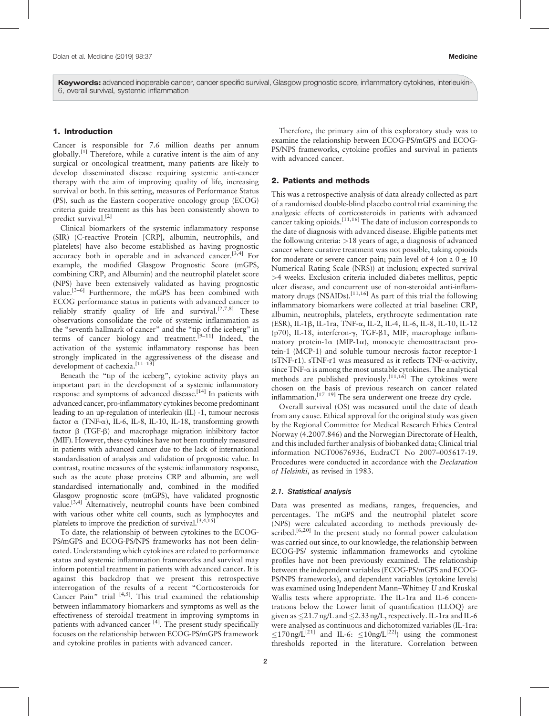Keywords: advanced inoperable cancer, cancer specific survival, Glasgow prognostic score, inflammatory cytokines, interleukin-6, overall survival, systemic inflammation

# 1. Introduction

Cancer is responsible for 7.6 million deaths per annum globally.<sup>[\[1\]](#page-5-0)</sup> Therefore, while a curative intent is the aim of any surgical or oncological treatment, many patients are likely to develop disseminated disease requiring systemic anti-cancer therapy with the aim of improving quality of life, increasing survival or both. In this setting, measures of Performance Status (PS), such as the Eastern cooperative oncology group (ECOG) criteria guide treatment as this has been consistently shown to predict survival.<sup>[\[2\]](#page-5-0)</sup>

Clinical biomarkers of the systemic inflammatory response (SIR) (C-reactive Protein [CRP], albumin, neutrophils, and platelets) have also become established as having prognostic accuracy both in operable and in advanced cancer.[3,4] For example, the modified Glasgow Prognostic Score (mGPS, combining CRP, and Albumin) and the neutrophil platelet score (NPS) have been extensively validated as having prognostic value.<sup>[3-6]</sup> Furthermore, the mGPS has been combined with ECOG performance status in patients with advanced cancer to reliably stratify quality of life and survival.<sup>[2,7,8]</sup> These observations consolidate the role of systemic inflammation as the "seventh hallmark of cancer" and the "tip of the iceberg" in terms of cancer biology and treatment.<sup>[9–11]</sup> Indeed, the activation of the systemic inflammatory response has been strongly implicated in the aggressiveness of the disease and development of cachexia.<sup>[11-13]</sup>

Beneath the "tip of the iceberg", cytokine activity plays an important part in the development of a systemic inflammatory response and symptoms of advanced disease.<sup>[\[14\]](#page-5-0)</sup> In patients with advanced cancer, pro-inflammatory cytokines become predominant leading to an up-regulation of interleukin (IL) -1, tumour necrosis factor  $\alpha$  (TNF- $\alpha$ ), IL-6, IL-8, IL-10, IL-18, transforming growth factor b (TGF-b) and macrophage migration inhibitory factor (MIF). However, these cytokines have not been routinely measured in patients with advanced cancer due to the lack of international standardisation of analysis and validation of prognostic value. In contrast, routine measures of the systemic inflammatory response, such as the acute phase proteins CRP and albumin, are well standardised internationally and, combined in the modified Glasgow prognostic score (mGPS), have validated prognostic value.<sup>[3,4]</sup> Alternatively, neutrophil counts have been combined with various other white cell counts, such as lymphocytes and platelets to improve the prediction of survival.<sup>[3,4,15]</sup>

To date, the relationship of between cytokines to the ECOG-PS/mGPS and ECOG-PS/NPS frameworks has not been delineated. Understanding which cytokines are related to performance status and systemic inflammation frameworks and survival may inform potential treatment in patients with advanced cancer. It is against this backdrop that we present this retrospective interrogation of the results of a recent "Corticosteroids for Cancer Pain" trial  $[4,5]$ . This trial examined the relationship between inflammatory biomarkers and symptoms as well as the effectiveness of steroidal treatment in improving symptoms in patients with advanced cancer [\[4\]](#page-5-0). The present study specifically focuses on the relationship between ECOG-PS/mGPS framework and cytokine profiles in patients with advanced cancer.

Therefore, the primary aim of this exploratory study was to examine the relationship between ECOG-PS/mGPS and ECOG-PS/NPS frameworks, cytokine profiles and survival in patients with advanced cancer.

# 2. Patients and methods

This was a retrospective analysis of data already collected as part of a randomised double-blind placebo control trial examining the analgesic effects of corticosteroids in patients with advanced cancer taking opioids.<sup>[11,16]</sup> The date of inclusion corresponds to the date of diagnosis with advanced disease. Eligible patients met the following criteria: >18 years of age, a diagnosis of advanced cancer where curative treatment was not possible, taking opioids for moderate or severe cancer pain; pain level of 4 (on a  $0 \pm 10$ Numerical Rating Scale (NRS)) at inclusion; expected survival >4 weeks. Exclusion criteria included diabetes mellitus, peptic ulcer disease, and concurrent use of non-steroidal anti-inflammatory drugs (NSAIDs).<sup>[11,16]</sup> As part of this trial the following inflammatory biomarkers were collected at trial baseline: CRP, albumin, neutrophils, platelets, erythrocyte sedimentation rate (ESR), IL-1b, IL-1ra, TNF-a, IL-2, IL-4, IL-6, IL-8, IL-10, IL-12 (p70), IL-18, interferon- $\gamma$ , TGF- $\beta$ 1, MIF, macrophage inflammatory protein-1 $\alpha$  (MIP-1 $\alpha$ ), monocyte chemoattractant protein-1 (MCP-1) and soluble tumour necrosis factor receptor-1 (sTNF-r1). sTNF-r1 was measured as it reflects TNF- $\alpha$ -activity, since  $TNF-\alpha$  is among the most unstable cytokines. The analytical methods are published previously.<sup>[11,16]</sup> The cytokines were chosen on the basis of previous research on cancer related inflammation.<sup>[17–19]</sup> The sera underwent one freeze dry cycle.

Overall survival (OS) was measured until the date of death from any cause. Ethical approval for the original study was given by the Regional Committee for Medical Research Ethics Central Norway (4.2007.846) and the Norwegian Directorate of Health, and this included further analysis of biobanked data; Clinical trial information NCT00676936, EudraCT No 2007–005617-19. Procedures were conducted in accordance with the Declaration of Helsinki, as revised in 1983.

#### 2.1. Statistical analysis

Data was presented as medians, ranges, frequencies, and percentages. The mGPS and the neutrophil platelet score (NPS) were calculated according to methods previously described.<sup>[6,20]</sup> In the present study no formal power calculation was carried out since, to our knowledge, the relationship between ECOG-PS/ systemic inflammation frameworks and cytokine profiles have not been previously examined. The relationship between the independent variables (ECOG-PS/mGPS and ECOG-PS/NPS frameworks), and dependent variables (cytokine levels) was examined using Independent Mann–Whitney U and Kruskal Wallis tests where appropriate. The IL-1ra and IL-6 concentrations below the Lower limit of quantification (LLOQ) are given as  $\leq$ 21.7 ng/L and  $\leq$ 2.33 ng/L, respectively. IL-1ra and IL-6 were analysed as continuous and dichotomized variables (IL-1ra:  $\langle 170 \text{ ng/L}^{[21]}$  $\langle 170 \text{ ng/L}^{[21]}$  $\langle 170 \text{ ng/L}^{[21]}$  and IL-6:  $\langle 10 \text{ ng/L}^{[22]} \rangle$  $\langle 10 \text{ ng/L}^{[22]} \rangle$  $\langle 10 \text{ ng/L}^{[22]} \rangle$  using the commonest thresholds reported in the literature. Correlation between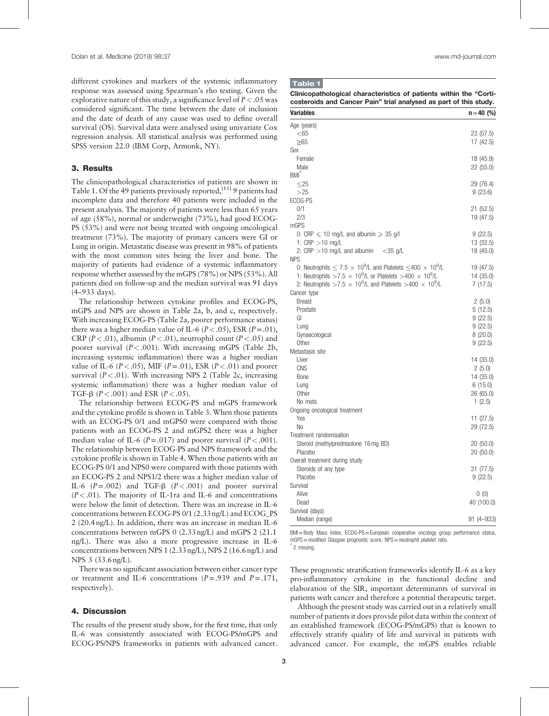different cytokines and markers of the systemic inflammatory response was assessed using Spearman's rho testing. Given the explorative nature of this study, a significance level of  $P < .05$  was considered significant. The time between the date of inclusion and the date of death of any cause was used to define overall survival (OS). Survival data were analysed using univariate Cox regression analysis. All statistical analysis was performed using SPSS version 22.0 (IBM Corp, Armonk, NY).

# 3. Results

The clinicopathological characteristics of patients are shown in Table 1. Of the 49 patients previously reported,  $[11]$  9 patients had incomplete data and therefore 40 patients were included in the present analysis. The majority of patients were less than 65 years of age (58%), normal or underweight (73%), had good ECOG-PS (53%) and were not being treated with ongoing oncological treatment (73%). The majority of primary cancers were GI or Lung in origin. Metastatic disease was present in 98% of patients with the most common sites being the liver and bone. The majority of patients had evidence of a systemic inflammatory response whether assessed by the mGPS (78%) or NPS (53%). All patients died on follow-up and the median survival was 91 days (4–933 days).

The relationship between cytokine profiles and ECOG-PS, mGPS and NPS are shown in [Table 2a](#page-3-0), b, and c, respectively. With increasing ECOG-PS ([Table 2](#page-3-0)a, poorer performance status) there was a higher median value of IL-6 ( $P < .05$ ), ESR ( $P = .01$ ), CRP ( $P < .01$ ), albumin ( $P < .01$ ), neutrophil count ( $P < .05$ ) and poorer survival  $(P < .001)$ . With increasing mGPS ([Table 2b](#page-3-0), increasing systemic inflammation) there was a higher median value of IL-6 ( $P < .05$ ), MIF ( $P = .01$ ), ESR ( $P < .01$ ) and poorer survival  $(P < .01)$ . With increasing NPS 2 [\(Table 2](#page-3-0)c, increasing systemic inflammation) there was a higher median value of TGF- $\beta$  ( $P < .001$ ) and ESR ( $P < .05$ ).

The relationship between ECOG-PS and mGPS framework and the cytokine profile is shown in [Table 3.](#page-4-0) When those patients with an ECOG-PS 0/1 and mGPS0 were compared with those patients with an ECOG-PS 2 and mGPS2 there was a higher median value of IL-6 ( $P = .017$ ) and poorer survival ( $P < .001$ ). The relationship between ECOG-PS and NPS framework and the cytokine profile is shown in [Table 4.](#page-4-0) When those patients with an ECOG-PS 0/1 and NPS0 were compared with those patients with an ECOG-PS 2 and NPS1/2 there was a higher median value of IL-6  $(P=.002)$  and TGF- $\beta$   $(P<.001)$  and poorer survival  $(P < .01)$ . The majority of IL-1ra and IL-6 and concentrations were below the limit of detection. There was an increase in IL-6 concentrations between ECOG-PS 0/1 (2.33 ng/L) and ECOG\_PS 2 (20.4 ng/L). In addition, there was an increase in median IL-6 concentrations between mGPS 0 (2.33 ng/L) and mGPS 2 (21.1 ng/L). There was also a more progressive increase in IL-6 concentrations between NPS 1 (2.33 ng/L), NPS 2 (16.6 ng/L) and NPS 3 (33.6 ng/L).

There was no significant association between either cancer type or treatment and IL-6 concentrations  $(P=.939)$  and  $P=.171$ , respectively).

# 4. Discussion

The results of the present study show, for the first time, that only IL-6 was consistently associated with ECOG-PS/mGPS and ECOG-PS/NPS frameworks in patients with advanced cancer.

## Table 1

| Clinicopathological characteristics of patients within the "Corti- |  |  |
|--------------------------------------------------------------------|--|--|
| costeroids and Cancer Pain" trial analysed as part of this study.  |  |  |

| Variables                                                                                      | $n = 40$ (%)  |
|------------------------------------------------------------------------------------------------|---------------|
| Age (years)                                                                                    |               |
| $<$ 65                                                                                         | 23 (57.5)     |
| $\geq 65$                                                                                      | 17 (42.5)     |
| Sex                                                                                            |               |
| Female                                                                                         | 18 (45.9)     |
| Male                                                                                           | 22 (55.0)     |
| $BM*$                                                                                          |               |
| $\leq$ 25                                                                                      | 29 (76.4)     |
| >25                                                                                            | 9(23.6)       |
| ECOG-PS                                                                                        |               |
| 0/1                                                                                            | 21 (52.5)     |
| 2/3                                                                                            | 19 (47.5)     |
| mGPS                                                                                           |               |
| 0: CRP $\leqslant$ 10 mg/L and albumin $\geqslant$ 35 g/l                                      | 9(22.5)       |
| 1: $CRP > 10$ mg/L                                                                             | 13 (32.5)     |
| 2: $CRP > 10$ mg/L and albumin<br>$<$ 35 g/L                                                   | 18 (45.0)     |
| <b>NPS</b>                                                                                     |               |
| 0: Neutrophils $< 7.5 \times 10^9$ /L and Platelets $<$ 400 $\times 10^9$ /L                   | 19 (47.5)     |
| 1: Neutrophils >7.5 $\times$ 10 <sup>9</sup> /L or Platelets >400 $\times$ 10 <sup>9</sup> /L  | 14 (35.0)     |
| 2: Neutrophils >7.5 $\times$ 10 <sup>9</sup> /L and Platelets >400 $\times$ 10 <sup>9</sup> /L | 7(17.5)       |
| Cancer type                                                                                    |               |
| <b>Breast</b>                                                                                  | 2(5.0)        |
| Prostate                                                                                       | 5(12.5)       |
| GI                                                                                             | 9(22.5)       |
| Lung                                                                                           | 9(22.5)       |
| Gynaecological                                                                                 | 8(20.0)       |
| Other                                                                                          | 9(22.5)       |
| Metastasis site                                                                                |               |
| Liver                                                                                          | 14 (35.0)     |
| <b>CNS</b>                                                                                     | 2(5.0)        |
| Bone                                                                                           | 14 (35.0)     |
| Lung                                                                                           | 6(15.0)       |
| Other                                                                                          | 26 (65.0)     |
| No mets                                                                                        | 1(2.5)        |
| Ongoing oncological treatment                                                                  |               |
| Yes                                                                                            | 11 (27.5)     |
| No                                                                                             | 29 (72.5)     |
| Treatment randomisation                                                                        |               |
| Steroid (methylprednisolone 16 mg BD)                                                          | 20 (50.0)     |
| Placebo                                                                                        | 20 (50.0)     |
| Overall treatment during study                                                                 |               |
| Steroids of any type                                                                           | 31 (77.5)     |
| Placebo                                                                                        | 9(22.5)       |
| Survival                                                                                       |               |
| Alive                                                                                          | 0(0)          |
| Dead                                                                                           | 40 (100.0)    |
| Survival (days)                                                                                |               |
| Median (range)                                                                                 | $91(4 - 933)$ |

BMI=Body Mass Index, ECOG-PS=European cooperative oncology group performance status, mGPS=modified Glasgow prognostic score, NPS=neutrophil platelet ratio.

2 missing.

These prognostic stratification frameworks identify IL-6 as a key pro-inflammatory cytokine in the functional decline and elaboration of the SIR, important determinants of survival in patients with cancer and therefore a potential therapeutic target.

Although the present study was carried out in a relatively small number of patients it does provide pilot data within the context of an established framework (ECOG-PS/mGPS) that is known to effectively stratify quality of life and survival in patients with advanced cancer. For example, the mGPS enables reliable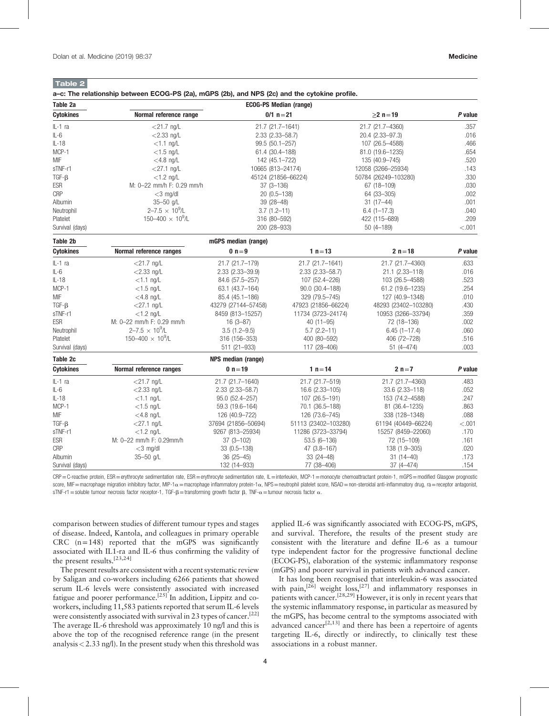# <span id="page-3-0"></span>Table 2

| Table 2a         |                                   |                        | <b>ECOG-PS Median (range)</b> |                      |         |
|------------------|-----------------------------------|------------------------|-------------------------------|----------------------|---------|
| <b>Cytokines</b> | Normal reference range            |                        | $0/1 n = 21$                  | $\geq$ 2 n = 19      | P value |
| IL-1 ra          | $<$ 21.7 ng/L                     | 21.7 (21.7-1641)       |                               | 21.7 (21.7-4360)     | .357    |
| $IL-6$           | $<$ 2.33 ng/L<br>2.33 (2.33-58.7) |                        |                               | 20.4 (2.33-97.3)     | .016    |
| $IL-18$          | $<$ 1.1 ng/L                      | 99.5 (50.1-257)        |                               | 107 (26.5-4588)      | .466    |
| MCP-1            | $<$ 1.5 ng/L                      | 61.4 (30.4-188)        |                               | 81.0 (19.6-1235)     | .654    |
| MIF              | $<$ 4.8 ng/L                      | 142 (45.1-722)         |                               | 135 (40.9-745)       | .520    |
| sTNF-r1          | $<$ 27.1 ng/L                     | 10665 (813-24174)      |                               | 12058 (3266-25934)   | .143    |
| $TGF-B$          | $<$ 1.2 ng/L                      |                        | 45124 (21856-66224)           | 50784 (26249-103280) | .330    |
| ESR              | M: 0-22 mm/h F: 0.29 mm/h         | $37(3 - 136)$          |                               | 67 (18-109)          | .030    |
| CRP              | $<$ 3 mg/dl                       | 20 (0.5-138)           |                               | 64 (33-305)          | .002    |
| Albumin          | 35-50 g/L                         | $39(28 - 48)$          |                               | $31(17-44)$          | .001    |
| Neutrophil       | $2 - 7.5 \times 10^9$ /L          | $3.7(1.2 - 11)$        |                               | $6.4(1 - 17.3)$      | .040    |
| Platelet         | $150 - 400 \times 10^9$ /L        | 316 (80-592)           |                               | 422 (115-689)        | .209    |
| Survival (days)  |                                   | 200 (28-933)           |                               | $50(4 - 189)$        | < .001  |
| Table 2b         |                                   | mGPS median (range)    |                               |                      |         |
| <b>Cytokines</b> | Normal reference ranges           | $0 n=9$                | 1 $n = 13$                    | $2 n = 18$           | P value |
| $IL-1$ ra        | $<$ 21.7 ng/L                     | 21.7 (21.7-179)        | 21.7 (21.7-1641)              | 21.7 (21.7-4360)     | .633    |
| $IL-6$           | $<$ 2.33 ng/L                     | 2.33 (2.33-39.9)       | $2.33$ $(2.33 - 58.7)$        | 21.1 (2.33-118)      | .016    |
| $IL-18$          | $<$ 1.1 ng/L                      | 84.6 (57.5-257)        | 107 (52.4-226)                | 103 (26.5-4588)      | .523    |
| MCP-1            | $<$ 1.5 ng/L                      | 63.1 (43.7-164)        | 90.0 (30.4-188)               | 61.2 (19.6-1235)     | .254    |
| MIF              | $<$ 4.8 ng/L                      | 85.4 (45.1-186)        | 329 (79.5-745)                | 127 (40.9-1348)      | .010    |
| $TGF - \beta$    | $<$ 27.1 ng/L                     | 43279 (27144-57458)    | 47923 (21856-66224)           | 48293 (23402-103280) | .430    |
| sTNF-r1          | $<$ 1.2 ng/L                      | 8459 (813-15257)       | 11734 (3723-24174)            | 10953 (3266-33794)   | .359    |
| <b>ESR</b>       | M: 0-22 mm/h F: 0.29 mm/h         | $16(3-87)$             | $40(11 - 95)$                 | 72 (18-136)          | .002    |
| Neutrophil       | $2 - 7.5 \times 10^9$ /L          | $3.5(1.2 - 9.5)$       | $5.7(2.2 - 11)$               | $6.45(1 - 17.4)$     | .060    |
| Platelet         | $150 - 400 \times 10^9$ /L        | 316 (156-353)          | 400 (80-592)                  | 406 (72-728)         | .516    |
| Survival (days)  |                                   | 511 (21-933)           | 117 (28-406)                  | $51(4 - 474)$        | .003    |
| Table 2c         |                                   | NPS median (range)     |                               |                      |         |
| <b>Cytokines</b> | Normal reference ranges           | 0 $n = 19$             | 1 $n = 14$                    | $2 n = 7$            | P value |
| $IL-1$ ra        | $<$ 21.7 ng/L                     | 21.7 (21.7-1640)       | 21.7 (21.7-519)               | 21.7 (21.7-4360)     | .483    |
| IL-6             | $<$ 2.33 ng/L                     | $2.33$ $(2.33 - 58.7)$ | 16.6 (2.33-105)               | 33.6 (2.33-118)      | .052    |
| $IL-18$          | $<$ 1.1 ng/L                      | 95.0 (52.4-257)        | 107 (26.5-191)                | 153 (74.2-4588)      | .247    |
| MCP-1            | $<$ 1.5 ng/L                      | 59.3 (19.6-164)        | 70.1 (36.5-188)               | 81 (36.4-1235)       | .863    |
| MIF              | $<$ 4.8 ng/L                      | 126 (40.9-722)         | 126 (73.6-745)                | 338 (128-1348)       | .088    |
| $TGF - \beta$    | $<$ 27.1 ng/L                     | 37694 (21856-50694)    | 51113 (23402-103280)          | 61194 (40449-66224)  | < .001  |
| sTNF-r1          | $<$ 1.2 ng/L                      | 9267 (813-25934)       | 11286 (3723-33794)            | 15257 (8459-22060)   | .170    |
| <b>ESR</b>       | M: 0-22 mm/h F: 0.29mm/h          | $37(3 - 102)$          | 53.5 (6-136)                  | 72 (15-109)          | .161    |
| CRP              | $<$ 3 mg/dl                       | $33(0.5 - 138)$        | 47 (3.8-167)                  | 138 (1.9-305)        | .020    |
| Albumin          | 35-50 g/L                         | $36(25 - 45)$          | $33(24 - 48)$                 | $31(14 - 40)$        | .173    |
| Survival (days)  |                                   | 132 (14-933)           | 77 (38-406)                   | $37(4 - 474)$        | .154    |

CRP = C-reactive protein, ESR = erythrocyte sedimentation rate, ESR = erythrocyte sedimentation rate, IL = interleukin, MCP-1 = monocyte chemoattractant protein-1, mGPS = modified Glasgow prognostic score, MIF=macrophage migration inhibitory factor, MIP-1 $\alpha$  = macrophage inflammatory protein-1 $\alpha$ , NPS = neutrophil platelet score, NSAD = non-steroidal anti-inflammatory drug, ra = receptor antagonist, sTNF-r1 = soluble tumour necrosis factor receptor-1, TGF- $\beta$  = transforming growth factor  $\beta$ , TNF- $\alpha$  = tumour necrosis factor  $\alpha$ .

comparison between studies of different tumour types and stages of disease. Indeed, Kantola, and colleagues in primary operable CRC  $(n=148)$  reported that the mGPS was significantly associated with IL1-ra and IL-6 thus confirming the validity of the present results.<sup>[23,24]</sup>

The present results are consistent with a recent systematic review by Saligan and co-workers including 6266 patients that showed serum IL-6 levels were consistently associated with increased fatigue and poorer performance.<sup>[25]</sup> In addition, Lippitz and coworkers, including 11,583 patients reported that serum IL-6 levels were consistently associated with survival in 23 types of cancer.<sup>[22]</sup> The average IL-6 threshold was approximately 10 ng/l and this is above the top of the recognised reference range (in the present analysis  $\langle 2.33 \text{ ng/l} \rangle$ . In the present study when this threshold was applied IL-6 was significantly associated with ECOG-PS, mGPS, and survival. Therefore, the results of the present study are consistent with the literature and define IL-6 as a tumour type independent factor for the progressive functional decline (ECOG-PS), elaboration of the systemic inflammatory response (mGPS) and poorer survival in patients with advanced cancer.

It has long been recognised that interleukin-6 was associated with pain,<sup>[\[26\]](#page-5-0)</sup> weight loss,<sup>[27]</sup> and inflammatory responses in patients with cancer.<sup>[28,29]</sup> However, it is only in recent years that the systemic inflammatory response, in particular as measured by the mGPS, has become central to the symptoms associated with advanced cancer<sup>[2,13]</sup> and there has been a repertoire of agents targeting IL-6, directly or indirectly, to clinically test these associations in a robust manner.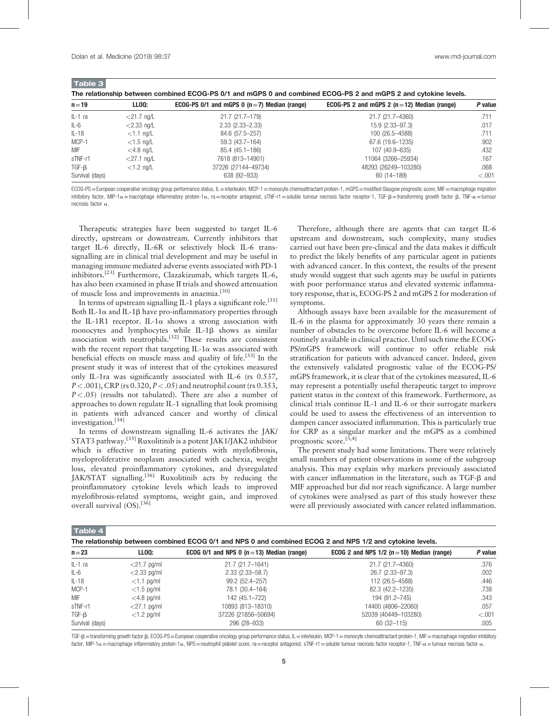<span id="page-4-0"></span>Table 3

| $\blacksquare$                                                                                                  |               |                                                   |                                                  |         |
|-----------------------------------------------------------------------------------------------------------------|---------------|---------------------------------------------------|--------------------------------------------------|---------|
| The relationship between combined ECOG-PS 0/1 and mGPS 0 and combined ECOG-PS 2 and mGPS 2 and cytokine levels. |               |                                                   |                                                  |         |
| $n = 19$                                                                                                        | <b>LLOO:</b>  | ECOG-PS 0/1 and mGPS 0 ( $n = 7$ ) Median (range) | ECOG-PS 2 and mGPS 2 ( $n = 12$ ) Median (range) | P value |
| $IL-1$ ra                                                                                                       | $<$ 21.7 ng/L | 21.7 (21.7–179)                                   | 21.7 (21.7-4360)                                 | .711    |
| IL-6                                                                                                            | $<$ 2.33 ng/L | $2.33(2.33 - 2.33)$                               | $15.9(2.33 - 97.3)$                              | .017    |
| $IL-18$                                                                                                         | $<$ 1.1 ng/L  | 84.6 (57.5-257)                                   | 100 (26.5-4588)                                  | .711    |
| MCP-1                                                                                                           | $<$ 1.5 ng/L  | 59.3 (43.7-164)                                   | $67.6(19.6-1235)$                                | .902    |
| MIF                                                                                                             | $<$ 4.8 ng/L  | 85.4 (45.1-186)                                   | 107 (40.9-635)                                   | .432    |
| sTNF-r1                                                                                                         | $<$ 27.1 ng/L | 7618 (813-14901)                                  | 11064 (3266-25934)                               | .167    |
| TGF-B                                                                                                           | $<$ 1.2 ng/L  | 37226 (27144-49734)                               | 48293 (26249-103280)                             | .068    |
| Survival (days)                                                                                                 |               | 638 (92-933)                                      | 60 (14 - 189)                                    | $-.001$ |

ECOG-PS = European cooperative oncology group performance status, IL = interleukin, MCP-1 = monocyte chemoattractant protein-1, mGPS = modified Glasgow prognostic score, MIF = macrophage migration inhibitory factor, MIP-1 $\alpha$  = macrophage inflammatory protein-1 $\alpha$ , ra = receptor antagonist, sTNF-r1 = soluble tumour necrosis factor receptor-1, TGF-B = transforming growth factor  $\beta$ , TNF- $\alpha$  = tumour necrosis factor a.

Therapeutic strategies have been suggested to target IL-6 directly, upstream or downstream. Currently inhibitors that target IL-6 directly, IL-6R or selectively block IL-6 transsignalling are in clinical trial development and may be useful in managing immune mediated adverse events associated with PD-1 inhibitors.[23] Furthermore, Clazakizumab, which targets IL-6, has also been examined in phase II trials and showed attenuation of muscle loss and improvements in anaemia.<sup>[\[30\]](#page-5-0)</sup>

In terms of upstream signalling IL-1 plays a significant role.<sup>[\[31\]](#page-5-0)</sup> Both IL-1 $\alpha$  and IL-1 $\beta$  have pro-inflammatory properties through the IL-1R1 receptor. IL-1 $\alpha$  shows a strong association with monocytes and lymphocytes while IL-1 $\beta$  shows as similar monocytes and lymphocytes while IL-1 $\beta$  shows as similar association with neutrophils.<sup>[\[32\]](#page-5-0)</sup> These results are consistent with the recent report that targeting IL-1 $\alpha$  was associated with beneficial effects on muscle mass and quality of life.[\[33\]](#page-5-0) In the present study it was of interest that of the cytokines measured only IL-1ra was significantly associated with IL-6 (rs 0.537,  $P < .001$ ), CRP (rs 0.320,  $P < .05$ ) and neutrophil count (rs 0.353,  $P < .05$ ) (results not tabulated). There are also a number of approaches to down regulate IL-1 signalling that look promising in patients with advanced cancer and worthy of clinical investigation.[\[34\]](#page-5-0)

In terms of downstream signalling IL-6 activates the JAK/ STAT3 pathway.[\[35\]](#page-6-0) Ruxolitinib is a potent JAK1/JAK2 inhibitor which is effective in treating patients with myelofibrosis, myeloproliferative neoplasm associated with cachexia, weight loss, elevated proinflammatory cytokines, and dysregulated JAK/STAT signalling.<sup>[\[36\]](#page-6-0)</sup> Ruxolitinib acts by reducing the proinflammatory cytokine levels which leads to improved myelofibrosis-related symptoms, weight gain, and improved overall survival (OS).<sup>[\[36\]](#page-6-0)</sup>

Therefore, although there are agents that can target IL-6 upstream and downstream, such complexity, many studies carried out have been pre-clinical and the data makes it difficult to predict the likely benefits of any particular agent in patients with advanced cancer. In this context, the results of the present study would suggest that such agents may be useful in patients with poor performance status and elevated systemic inflammatory response, that is, ECOG-PS 2 and mGPS 2 for moderation of symptoms.

Although assays have been available for the measurement of IL-6 in the plasma for approximately 30 years there remain a number of obstacles to be overcome before IL-6 will become a routinely available in clinical practice. Until such time the ECOG-PS/mGPS framework will continue to offer reliable risk stratification for patients with advanced cancer. Indeed, given the extensively validated prognostic value of the ECOG-PS/ mGPS framework, it is clear that of the cytokines measured, IL-6 may represent a potentially useful therapeutic target to improve patient status in the context of this framework. Furthermore, as clinical trials continue IL-1 and IL-6 or their surrogate markers could be used to assess the effectiveness of an intervention to dampen cancer associated inflammation. This is particularly true for CRP as a singular marker and the mGPS as a combined prognostic score.<sup>[3,4]</sup>

The present study had some limitations. There were relatively small numbers of patient observations in some of the subgroup analysis. This may explain why markers previously associated with cancer inflammation in the literature, such as TGF- $\beta$  and MIF approached but did not reach significance. A large number of cytokines were analysed as part of this study however these were all previously associated with cancer related inflammation.

Table 4

|  |  |  | The relationship between combined ECOG 0/1 and NPS 0 and combined ECOG 2 and NPS 1/2 and cytokine levels. |
|--|--|--|-----------------------------------------------------------------------------------------------------------|
|--|--|--|-----------------------------------------------------------------------------------------------------------|

| $n = 23$        | LLOO:          | ECOG 0/1 and NPS 0 ( $n = 13$ ) Median (range) | ECOG 2 and NPS $1/2$ (n = 10) Median (range) | P value |
|-----------------|----------------|------------------------------------------------|----------------------------------------------|---------|
| IL-1 ra         | $<$ 21.7 pg/ml | 21.7 (21.7-1641)                               | 21.7 (21.7-4360)                             | .376    |
| IL-6            | $<$ 2.33 pg/ml | $2.33(2.33 - 58.7)$                            | 26.7 (2.33-97.3)                             | .002    |
| $IL-18$         | $<$ 1.1 pg/ml  | 99.2 (52.4-257)                                | 112 (26.5-4588)                              | .446    |
| MCP-1           | $<$ 1.5 pg/ml  | 78.1 (30.4-164)                                | 82.3 (42.2-1235)                             | .738    |
| <b>MIF</b>      | $<$ 4.8 pg/ml  | 142 (45.1-722)                                 | 194 (91.2-745)                               | .343    |
| sTNF-r1         | $<$ 27.1 pg/ml | 10893 (813-18310)                              | 14400 (4806-22060)                           | .057    |
| $TGF-B$         | $<$ 1.2 pg/ml  | 37226 (21856-50694)                            | 52039 (40449-103280)                         | $-.001$ |
| Survival (days) |                | 296 (28-933)                                   | $60(32-115)$                                 | .005    |

TGF-ß = transforming growth factor  $\beta$ , ECOG-PS = European cooperative oncology group performance status, IL = interleukin, MCP-1 = monocyte chemoattractant protein-1, MIF = macrophage migration inhibitory factor, MIP-1 $\alpha$  = macrophage inflammatory protein-1 $\alpha$ , NPS = neutrophil platelet score, ra = receptor antagonist, sTNF-r1 = soluble tumour necrosis factor receptor-1, TNF- $\alpha$  = tumour necrosis factor  $\alpha$ .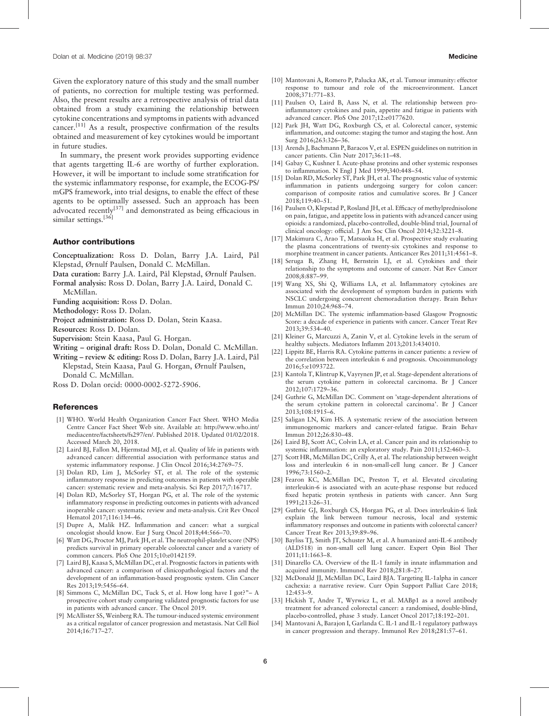<span id="page-5-0"></span>Given the exploratory nature of this study and the small number of patients, no correction for multiple testing was performed. Also, the present results are a retrospective analysis of trial data obtained from a study examining the relationship between cytokine concentrations and symptoms in patients with advanced cancer.[11] As a result, prospective confirmation of the results obtained and measurement of key cytokines would be important in future studies.

In summary, the present work provides supporting evidence that agents targetting IL-6 are worthy of further exploration. However, it will be important to include some stratification for the systemic inflammatory response, for example, the ECOG-PS/ mGPS framework, into trial designs, to enable the effect of these agents to be optimally assessed. Such an approach has been advocated recently<sup>[\[37\]](#page-6-0)</sup> and demonstrated as being efficacious in similar settings.<sup>[\[36\]](#page-6-0)</sup>

#### Author contributions

- Conceptualization: Ross D. Dolan, Barry J.A. Laird, Pål Klepstad, Ørnulf Paulsen, Donald C. McMillan.
- Data curation: Barry J.A. Laird, Pål Klepstad, Ørnulf Paulsen.
- Formal analysis: Ross D. Dolan, Barry J.A. Laird, Donald C.
	- McMillan.
- Funding acquisition: Ross D. Dolan.
- Methodology: Ross D. Dolan.

Project administration: Ross D. Dolan, Stein Kaasa.

- Resources: Ross D. Dolan.
- Supervision: Stein Kaasa, Paul G. Horgan.
- Writing original draft: Ross D. Dolan, Donald C. McMillan.
- Writing review & editing: Ross D. Dolan, Barry J.A. Laird, Pål Klepstad, Stein Kaasa, Paul G. Horgan, Ørnulf Paulsen, Donald C. McMillan.

Ross D. Dolan orcid: 0000-0002-5272-5906.

# **References**

- [1] WHO. World Health Organization Cancer Fact Sheet. WHO Media Centre Cancer Fact Sheet Web site. Available at: [http://www.who.int/](http://www.who.int/mediacentre/factsheets/fs297/en/) [mediacentre/factsheets/fs297/en/.](http://www.who.int/mediacentre/factsheets/fs297/en/) Published 2018. Updated 01/02/2018. Accessed March 20, 2018.
- [2] Laird BJ, Fallon M, Hjermstad MJ, et al. Quality of life in patients with advanced cancer: differential association with performance status and systemic inflammatory response. J Clin Oncol 2016;34:2769–75.
- [3] Dolan RD, Lim J, McSorley ST, et al. The role of the systemic inflammatory response in predicting outcomes in patients with operable cancer: systematic review and meta-analysis. Sci Rep 2017;7:16717.
- [4] Dolan RD, McSorley ST, Horgan PG, et al. The role of the systemic inflammatory response in predicting outcomes in patients with advanced inoperable cancer: systematic review and meta-analysis. Crit Rev Oncol Hematol 2017;116:134–46.
- [5] Dupre A, Malik HZ. Inflammation and cancer: what a surgical oncologist should know. Eur J Surg Oncol 2018;44:566–70.
- [6] Watt DG, Proctor MJ, Park JH, et al. The neutrophil-platelet score (NPS) predicts survival in primary operable colorectal cancer and a variety of common cancers. PloS One 2015;10:e0142159.
- [7] Laird BJ, Kaasa S, McMillan DC, et al. Prognostic factors in patients with advanced cancer: a comparison of clinicopathological factors and the development of an inflammation-based prognostic system. Clin Cancer Res 2013;19:5456–64.
- [8] Simmons C, McMillan DC, Tuck S, et al. How long have I got?"– A prospective cohort study comparing validated prognostic factors for use in patients with advanced cancer. The Oncol 2019.
- [9] McAllister SS, Weinberg RA. The tumour-induced systemic environment as a critical regulator of cancer progression and metastasis. Nat Cell Biol 2014;16:717–27.
- [10] Mantovani A, Romero P, Palucka AK, et al. Tumour immunity: effector response to tumour and role of the microenvironment. Lancet 2008;371:771–83.
- [11] Paulsen O, Laird B, Aass N, et al. The relationship between proinflammatory cytokines and pain, appetite and fatigue in patients with advanced cancer. PloS One 2017;12:e0177620.
- [12] Park JH, Watt DG, Roxburgh CS, et al. Colorectal cancer, systemic inflammation, and outcome: staging the tumor and staging the host. Ann Surg 2016;263:326–36.
- [13] Arends J, Bachmann P, Baracos V, et al. ESPEN guidelines on nutrition in cancer patients. Clin Nutr 2017;36:11–48.
- [14] Gabay C, Kushner I. Acute-phase proteins and other systemic responses to inflammation. N Engl J Med 1999;340:448–54.
- [15] Dolan RD, McSorley ST, Park JH, et al. The prognostic value of systemic inflammation in patients undergoing surgery for colon cancer: comparison of composite ratios and cumulative scores. Br J Cancer 2018;119:40–51.
- [16] Paulsen O, Klepstad P, Rosland JH, et al. Efficacy of methylprednisolone on pain, fatigue, and appetite loss in patients with advanced cancer using opioids: a randomized, placebo-controlled, double-blind trial, Journal of clinical oncology: official. J Am Soc Clin Oncol 2014;32:3221–8.
- [17] Makimura C, Arao T, Matsuoka H, et al. Prospective study evaluating the plasma concentrations of twenty-six cytokines and response to morphine treatment in cancer patients. Anticancer Res 2011;31:4561–8.
- [18] Seruga B, Zhang H, Bernstein LJ, et al. Cytokines and their relationship to the symptoms and outcome of cancer. Nat Rev Cancer 2008;8:887–99.
- [19] Wang XS, Shi Q, Williams LA, et al. Inflammatory cytokines are associated with the development of symptom burden in patients with NSCLC undergoing concurrent chemoradiation therapy. Brain Behav Immun 2010;24:968–74.
- [20] McMillan DC. The systemic inflammation-based Glasgow Prognostic Score: a decade of experience in patients with cancer. Cancer Treat Rev 2013;39:534–40.
- [21] Kleiner G, Marcuzzi A, Zanin V, et al. Cytokine levels in the serum of healthy subjects. Mediators Inflamm 2013;2013:434010.
- [22] Lippitz BE, Harris RA. Cytokine patterns in cancer patients: a review of the correlation between interleukin 6 and prognosis. Oncoimmunology 2016;5:e1093722.
- [23] Kantola T, Klintrup K, Vayrynen JP, et al. Stage-dependent alterations of the serum cytokine pattern in colorectal carcinoma. Br J Cancer 2012;107:1729–36.
- [24] Guthrie G, McMillan DC. Comment on 'stage-dependent alterations of the serum cytokine pattern in colorectal carcinoma'. Br J Cancer 2013;108:1915–6.
- [25] Saligan LN, Kim HS. A systematic review of the association between immunogenomic markers and cancer-related fatigue. Brain Behav Immun 2012;26:830–48.
- [26] Laird BJ, Scott AC, Colvin LA, et al. Cancer pain and its relationship to systemic inflammation: an exploratory study. Pain 2011;152:460–3.
- [27] Scott HR, McMillan DC, Crilly A, et al. The relationship between weight loss and interleukin 6 in non-small-cell lung cancer. Br J Cancer 1996;73:1560–2.
- [28] Fearon KC, McMillan DC, Preston T, et al. Elevated circulating interleukin-6 is associated with an acute-phase response but reduced fixed hepatic protein synthesis in patients with cancer. Ann Surg 1991;213:26–31.
- [29] Guthrie GJ, Roxburgh CS, Horgan PG, et al. Does interleukin-6 link explain the link between tumour necrosis, local and systemic inflammatory responses and outcome in patients with colorectal cancer? Cancer Treat Rev 2013;39:89–96.
- [30] Bayliss TJ, Smith JT, Schuster M, et al. A humanized anti-IL-6 antibody (ALD518) in non-small cell lung cancer. Expert Opin Biol Ther 2011;11:1663–8.
- [31] Dinarello CA. Overview of the IL-1 family in innate inflammation and acquired immunity. Immunol Rev 2018;281:8–27.
- [32] McDonald JJ, McMillan DC, Laird BJA. Targeting IL-1alpha in cancer cachexia: a narrative review. Curr Opin Support Palliat Care 2018; 12:453–9.
- [33] Hickish T, Andre T, Wyrwicz L, et al. MABp1 as a novel antibody treatment for advanced colorectal cancer: a randomised, double-blind, placebo-controlled, phase 3 study. Lancet Oncol 2017;18:192–201.
- [34] Mantovani A, Barajon I, Garlanda C. IL-1 and IL-1 regulatory pathways in cancer progression and therapy. Immunol Rev 2018;281:57–61.